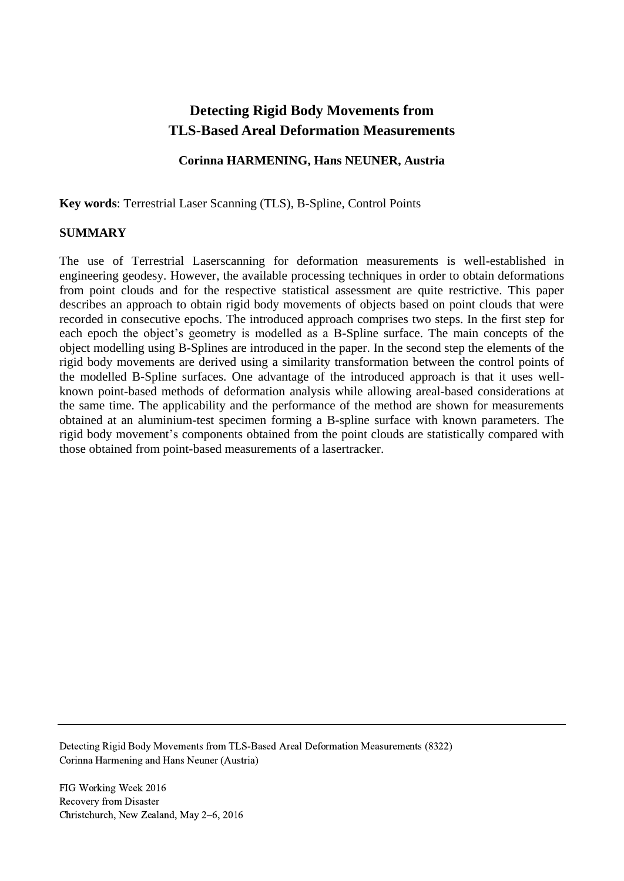# **Detecting Rigid Body Movements from TLS-Based Areal Deformation Measurements**

# **Corinna HARMENING, Hans NEUNER, Austria**

**Key words**: Terrestrial Laser Scanning (TLS), B-Spline, Control Points

### **SUMMARY**

The use of Terrestrial Laserscanning for deformation measurements is well-established in engineering geodesy. However, the available processing techniques in order to obtain deformations from point clouds and for the respective statistical assessment are quite restrictive. This paper describes an approach to obtain rigid body movements of objects based on point clouds that were recorded in consecutive epochs. The introduced approach comprises two steps. In the first step for each epoch the object's geometry is modelled as a B-Spline surface. The main concepts of the object modelling using B-Splines are introduced in the paper. In the second step the elements of the rigid body movements are derived using a similarity transformation between the control points of the modelled B-Spline surfaces. One advantage of the introduced approach is that it uses wellknown point-based methods of deformation analysis while allowing areal-based considerations at the same time. The applicability and the performance of the method are shown for measurements obtained at an aluminium-test specimen forming a B-spline surface with known parameters. The rigid body movement's components obtained from the point clouds are statistically compared with those obtained from point-based measurements of a lasertracker.

Detecting Rigid Body Movements from TLS-Based Areal Deformation Measurements (8322) Corinna Harmening and Hans Neuner (Austria)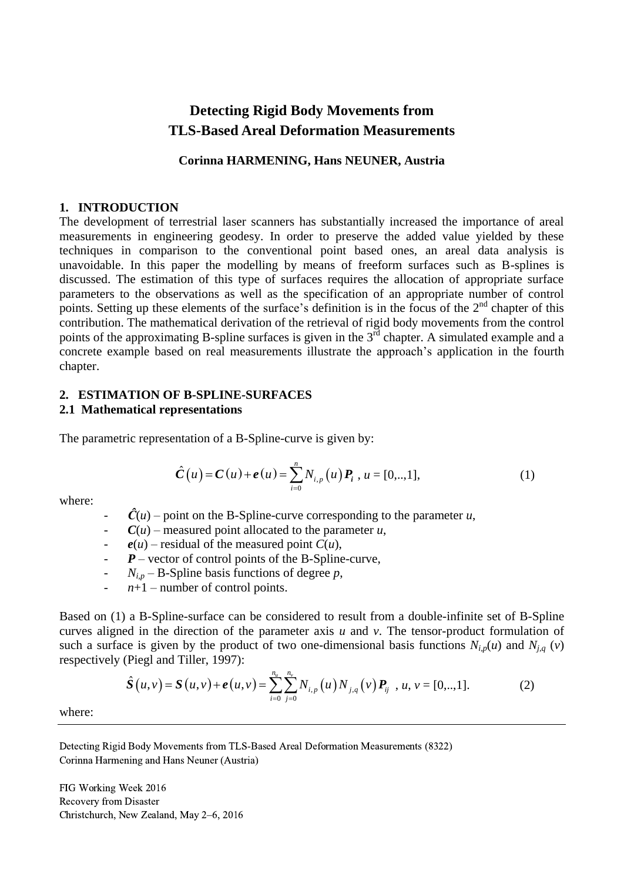# **Detecting Rigid Body Movements from TLS-Based Areal Deformation Measurements**

### **Corinna HARMENING, Hans NEUNER, Austria**

### **1. INTRODUCTION**

The development of terrestrial laser scanners has substantially increased the importance of areal measurements in engineering geodesy. In order to preserve the added value yielded by these techniques in comparison to the conventional point based ones, an areal data analysis is unavoidable. In this paper the modelling by means of freeform surfaces such as B-splines is discussed. The estimation of this type of surfaces requires the allocation of appropriate surface parameters to the observations as well as the specification of an appropriate number of control points. Setting up these elements of the surface's definition is in the focus of the 2<sup>nd</sup> chapter of this contribution. The mathematical derivation of the retrieval of rigid body movements from the control points of the approximating B-spline surfaces is given in the  $3<sup>rd</sup>$  chapter. A simulated example and a concrete example based on real measurements illustrate the approach's application in the fourth chapter.

# **2. ESTIMATION OF B-SPLINE-SURFACES**

### **2.1 Mathematical representations**

The parametric representation of a B-Spline-curve is given by:

$$
\hat{C}(u) = C(u) + e(u) = \sum_{i=0}^{n} N_{i,p}(u) P_i, u = [0,..,1],
$$
\n(1)

where:

 $\hat{C}(u)$  – point on the B-Spline-curve corresponding to the parameter *u*,

 $C(u)$  – measured point allocated to the parameter *u*,

 $e(u)$  – residual of the measured point  $C(u)$ ,

 $P$  – vector of control points of the B-Spline-curve,

 $N_{i,p}$  – B-Spline basis functions of degree *p*,

 $n+1$  – number of control points.

Based on (1) a B-Spline-surface can be considered to result from a double-infinite set of B-Spline curves aligned in the direction of the parameter axis *u* and *v*. The tensor-product formulation of such a surface is given by the product of two one-dimensional basis functions  $N_{i,p}(u)$  and  $N_{j,q}(v)$ <br>respectively (Piegl and Tiller, 1997):<br> $\hat{S}(u,v) = S(u,v) + e(u,v) = \sum_{i=0}^{n_u} \sum_{j=0}^{n_v} N_{i,p}(u) N_{j,q}(v) P_{ij}$ ,  $u, v = [0,..,1].$  (2)  $\frac{n_u}{n_v}$   $\frac{n_v}{n_v}$ 

respectively (Piegl and Tiller, 1997):  
\n
$$
\hat{S}(u,v) = S(u,v) + e(u,v) = \sum_{i=0}^{n_u} \sum_{j=0}^{n_v} N_{i,p}(u) N_{j,q}(v) P_{ij}, u, v = [0,..,1].
$$
\n(2)

where:

Detecting Rigid Body Movements from TLS-Based Areal Deformation Measurements (8322) Corinna Harmening and Hans Neuner (Austria)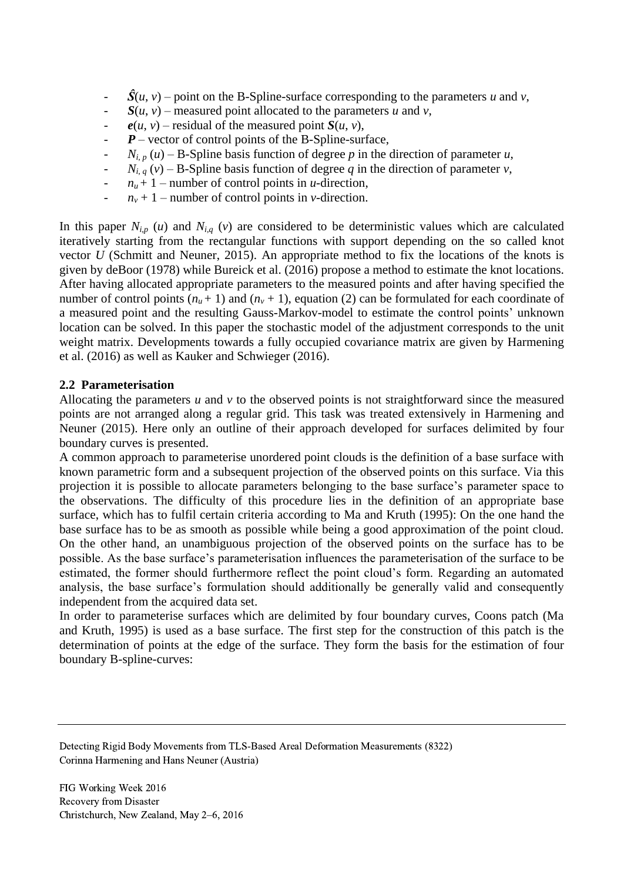- $\hat{S}(u, v)$  point on the B-Spline-surface corresponding to the parameters *u* and *v*,
- $S(u, v)$  measured point allocated to the parameters *u* and *v*,
- $e(u, v)$  residual of the measured point  $S(u, v)$ ,
- $P$  vector of control points of the B-Spline-surface,
- $N_{i,p}(u)$  B-Spline basis function of degree p in the direction of parameter *u*,
- $N_{i,q}(v)$  B-Spline basis function of degree *q* in the direction of parameter *v*,
- $n_u + 1$  number of control points in *u*-direction,
- $n_v + 1$  number of control points in *v*-direction.

In this paper  $N_{i,p}$  (*u*) and  $N_{i,q}$  (*v*) are considered to be deterministic values which are calculated iteratively starting from the rectangular functions with support depending on the so called knot vector *U* (Schmitt and Neuner, 2015). An appropriate method to fix the locations of the knots is given by deBoor (1978) while Bureick et al. (2016) propose a method to estimate the knot locations. After having allocated appropriate parameters to the measured points and after having specified the number of control points  $(n<sub>u</sub> + 1)$  and  $(n<sub>v</sub> + 1)$ , equation (2) can be formulated for each coordinate of a measured point and the resulting Gauss-Markov-model to estimate the control points' unknown location can be solved. In this paper the stochastic model of the adjustment corresponds to the unit weight matrix. Developments towards a fully occupied covariance matrix are given by Harmening et al. (2016) as well as Kauker and Schwieger (2016).

# **2.2 Parameterisation**

Allocating the parameters *u* and *v* to the observed points is not straightforward since the measured points are not arranged along a regular grid. This task was treated extensively in Harmening and Neuner (2015). Here only an outline of their approach developed for surfaces delimited by four boundary curves is presented.

A common approach to parameterise unordered point clouds is the definition of a base surface with known parametric form and a subsequent projection of the observed points on this surface. Via this projection it is possible to allocate parameters belonging to the base surface's parameter space to the observations. The difficulty of this procedure lies in the definition of an appropriate base surface, which has to fulfil certain criteria according to Ma and Kruth (1995): On the one hand the base surface has to be as smooth as possible while being a good approximation of the point cloud. On the other hand, an unambiguous projection of the observed points on the surface has to be possible. As the base surface's parameterisation influences the parameterisation of the surface to be estimated, the former should furthermore reflect the point cloud's form. Regarding an automated analysis, the base surface's formulation should additionally be generally valid and consequently independent from the acquired data set.

In order to parameterise surfaces which are delimited by four boundary curves, Coons patch (Ma and Kruth, 1995) is used as a base surface. The first step for the construction of this patch is the determination of points at the edge of the surface. They form the basis for the estimation of four boundary B-spline-curves:

Detecting Rigid Body Movements from TLS-Based Areal Deformation Measurements (8322) Corinna Harmening and Hans Neuner (Austria)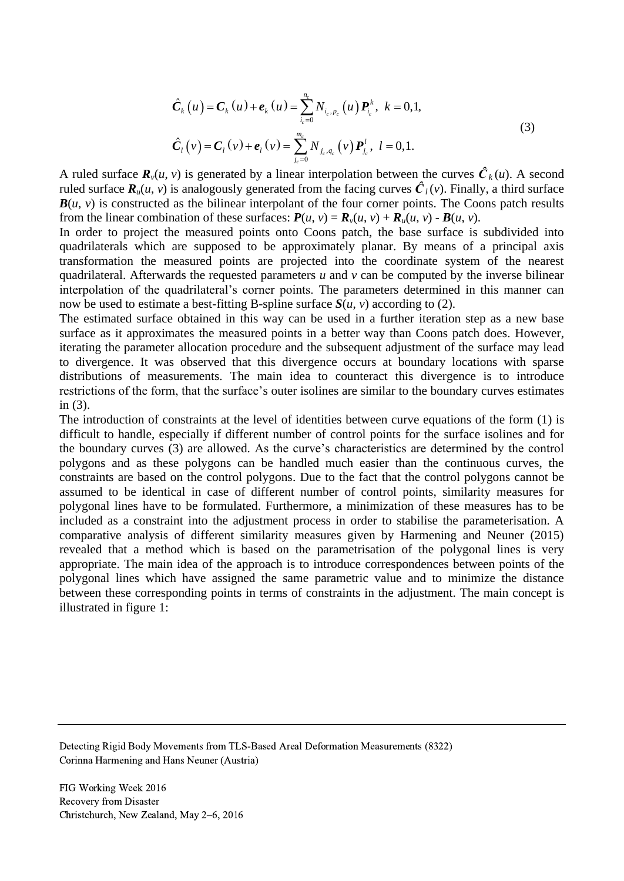$$
\hat{C}_{k}(u) = C_{k}(u) + e_{k}(u) = \sum_{i_{c}=0}^{n_{c}} N_{i_{c},p_{c}}(u) P_{i_{c}}^{k}, \ k = 0, 1,
$$
\n
$$
\hat{C}_{l}(v) = C_{l}(v) + e_{l}(v) = \sum_{i_{c}=0}^{m_{c}} N_{i_{c},q_{c}}(v) P_{i_{c}}^{l}, \ l = 0, 1.
$$
\n(3)

A ruled surface  $\mathbf{R}_{\nu}(u, v)$  is generated by a linear interpolation between the curves  $\hat{\mathbf{C}}_k(u)$ . A second ruled surface  $\mathbf{R}_{\mu}(u, v)$  is analogously generated from the facing curves  $\hat{\mathbf{C}}_l(v)$ . Finally, a third surface  $B(u, v)$  is constructed as the bilinear interpolant of the four corner points. The Coons patch results from the linear combination of these surfaces:  $P(u, v) = R_v(u, v) + R_u(u, v) - B(u, v)$ .

In order to project the measured points onto Coons patch, the base surface is subdivided into quadrilaterals which are supposed to be approximately planar. By means of a principal axis transformation the measured points are projected into the coordinate system of the nearest quadrilateral. Afterwards the requested parameters *u* and *v* can be computed by the inverse bilinear interpolation of the quadrilateral's corner points. The parameters determined in this manner can now be used to estimate a best-fitting B-spline surface  $S(u, v)$  according to (2).

The estimated surface obtained in this way can be used in a further iteration step as a new base surface as it approximates the measured points in a better way than Coons patch does. However, iterating the parameter allocation procedure and the subsequent adjustment of the surface may lead to divergence. It was observed that this divergence occurs at boundary locations with sparse distributions of measurements. The main idea to counteract this divergence is to introduce restrictions of the form, that the surface's outer isolines are similar to the boundary curves estimates in (3).

The introduction of constraints at the level of identities between curve equations of the form (1) is difficult to handle, especially if different number of control points for the surface isolines and for the boundary curves (3) are allowed. As the curve's characteristics are determined by the control polygons and as these polygons can be handled much easier than the continuous curves, the constraints are based on the control polygons. Due to the fact that the control polygons cannot be assumed to be identical in case of different number of control points, similarity measures for polygonal lines have to be formulated. Furthermore, a minimization of these measures has to be included as a constraint into the adjustment process in order to stabilise the parameterisation. A comparative analysis of different similarity measures given by Harmening and Neuner (2015) revealed that a method which is based on the parametrisation of the polygonal lines is very appropriate. The main idea of the approach is to introduce correspondences between points of the polygonal lines which have assigned the same parametric value and to minimize the distance between these corresponding points in terms of constraints in the adjustment. The main concept is illustrated in figure 1:

Detecting Rigid Body Movements from TLS-Based Areal Deformation Measurements (8322) Corinna Harmening and Hans Neuner (Austria)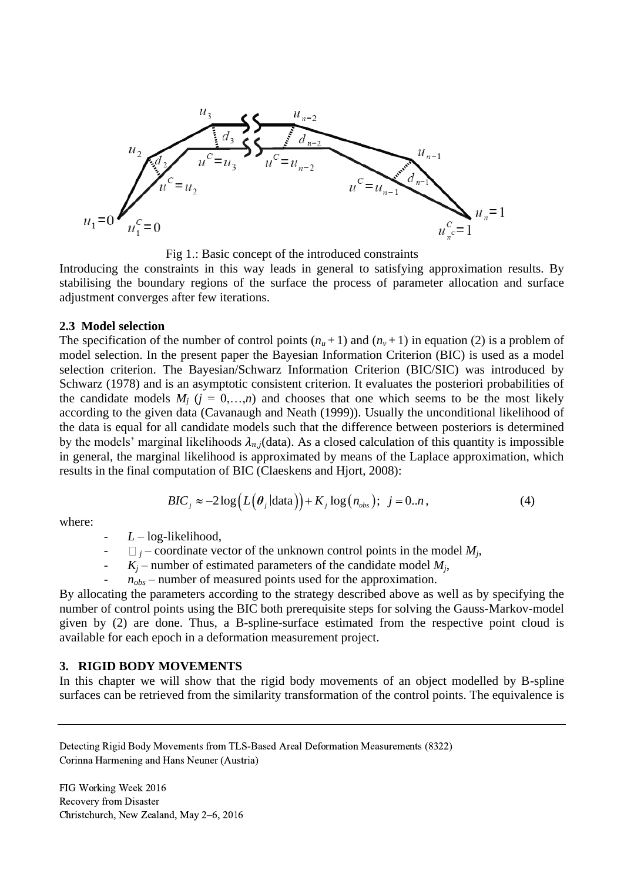

Fig 1.: Basic concept of the introduced constraints

Introducing the constraints in this way leads in general to satisfying approximation results. By stabilising the boundary regions of the surface the process of parameter allocation and surface adjustment converges after few iterations.

#### **2.3 Model selection**

The specification of the number of control points  $(n<sub>u</sub>+1)$  and  $(n<sub>v</sub>+1)$  in equation (2) is a problem of model selection. In the present paper the Bayesian Information Criterion (BIC) is used as a model selection criterion. The Bayesian/Schwarz Information Criterion (BIC/SIC) was introduced by Schwarz (1978) and is an asymptotic consistent criterion. It evaluates the posteriori probabilities of the candidate models  $M_i$  ( $j = 0,...,n$ ) and chooses that one which seems to be the most likely according to the given data (Cavanaugh and Neath (1999)). Usually the unconditional likelihood of the data is equal for all candidate models such that the difference between posteriors is determined by the models' marginal likelihoods  $\lambda_{n,i}$  (data). As a closed calculation of this quantity is impossible in general, the marginal likelihood is approximated by means of the Laplace approximation, which

results in the final computation of BIC (Classesens and Hjort, 2008):  
\n
$$
BIC_j \approx -2\log(L(\theta_j|\text{data})) + K_j \log(n_{obs}); \ \ j = 0..n,
$$
\n(4)

where:

- *L* – log-likelihood,

$$
\Box_j - \text{coordinate vector of the unknown control points in the model } M_j,
$$

 $K_i$  – number of estimated parameters of the candidate model  $M_i$ ,

 $n_{obs}$  – number of measured points used for the approximation.

By allocating the parameters according to the strategy described above as well as by specifying the number of control points using the BIC both prerequisite steps for solving the Gauss-Markov-model given by (2) are done. Thus, a B-spline-surface estimated from the respective point cloud is available for each epoch in a deformation measurement project.

### **3. RIGID BODY MOVEMENTS**

In this chapter we will show that the rigid body movements of an object modelled by B-spline surfaces can be retrieved from the similarity transformation of the control points. The equivalence is

Detecting Rigid Body Movements from TLS-Based Areal Deformation Measurements (8322) Corinna Harmening and Hans Neuner (Austria)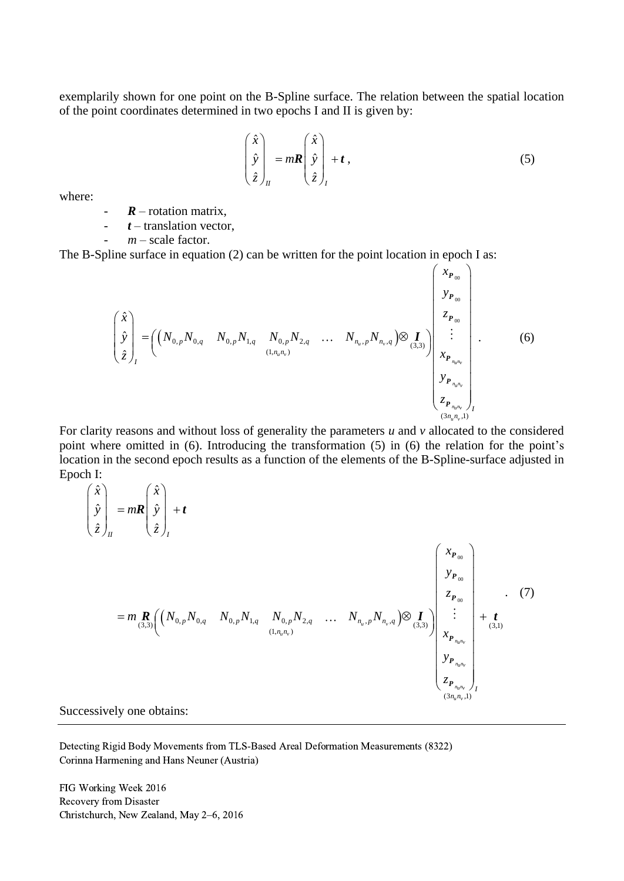exemplarily shown for one point on the B-Spline surface. The relation between the spatial location of the point coordinates determined in two epochs I and II is given by:

$$
\begin{pmatrix} \hat{x} \\ \hat{y} \\ \hat{z} \end{pmatrix}_{II} = m\mathbf{R} \begin{pmatrix} \hat{x} \\ \hat{y} \\ \hat{z} \end{pmatrix}_{I} + t , \qquad (5)
$$

where:

 $R$  – rotation matrix,

- *t* – translation vector,

 $m$  – scale factor.

The B-Spline surface in equation (2) can be written for the point location in epoch I as:

$$
V = \text{Uanisation vector},
$$
\n
$$
m - \text{scale factor}.
$$
\n\n
$$
\text{Dline surface in equation (2) can be written for the point location in epoch I as:}
$$
\n
$$
\begin{pmatrix}\n\hat{x} \\
y \\
\hat{y} \\
\hat{z}\n\end{pmatrix}_{I} = \left(\begin{pmatrix}\nN_{0,p}N_{0,q} & N_{0,p}N_{1,q} & N_{0,p}N_{2,q} & \dots & N_{n_u,p}N_{n_v,q}\n\end{pmatrix}\n\begin{pmatrix}\nx_{P_{00}} \\
y_{P_{00}} \\
z_{P_{00}} \\
z_{P_{00}} \\
\vdots \\
x_{P_{n_u,n_v}}\n\end{pmatrix}
$$
\n
$$
\begin{pmatrix}\n\hat{x} \\
y_p \\
z_{P_{00}} \\
x_{P_{n_u,n_v}}\n\end{pmatrix}_{I}
$$
\n
$$
\begin{pmatrix}\nS_{P_{n_u,n_v}} \\
S_{P_{n_u,n_v}}\n\end{pmatrix}_{I}
$$
\n
$$
\begin{pmatrix}\nS_{P_{n_u,n_v}} \\
S_{P_{n_u,n_v}}\n\end{pmatrix}_{I}
$$
\n
$$
\begin{pmatrix}\nS_{P_{n_u,n_v}} \\
S_{P_{n_u,n_v}}\n\end{pmatrix}_{I}
$$

For clarity reasons and without loss of generality the parameters *u* and *v* allocated to the considered point where omitted in (6). Introducing the transformation (5) in (6) the relation for the point's location in the second epoch results as a function of the elements of the B-Spline-surface adjusted in Epoch I: where omitted in (6). Intr<br>
in the second epoch resu<br>  $\begin{pmatrix} \hat{x} \\ \hat{y} \\ z \end{pmatrix}$ 

where omitted in (6). Introducing the transformation (5) in (6) the relation for the point  
on in the second epoch results as a function of the elements of the B-Spline-surface adjusted  
h I:  

$$
\begin{pmatrix} \hat{x} \\ \hat{y} \\ \hat{z} \end{pmatrix}_{I} = mR \begin{pmatrix} \hat{x} \\ \hat{y} \\ \hat{z} \end{pmatrix}_{I} + t
$$

$$
= m \frac{R}{(3,3)} \left( \begin{pmatrix} N_{0,p}N_{0,q} & N_{0,p}N_{1,q} & N_{0,p}N_{2,q} & \dots & N_{n_a,p}N_{n_b,q} \end{pmatrix} \otimes \begin{pmatrix} x_{P_{00}} \\ y_{P_{00}} \\ z_{P_{00}} \\ \vdots \\ z_{P_{n_a n_b}} \\ z_{P_{n_a n_b}} \end{pmatrix}_{I} + t
$$

$$
\begin{pmatrix} x_{P_{00}} \\ y_{P_{n_a n_b}} \\ z_{P_{n_a n_b}} \\ \vdots \\ z_{P_{n_a n_b}} \end{pmatrix}_{I}
$$

Successively one obtains:

Detecting Rigid Body Movements from TLS-Based Areal Deformation Measurements (8322) Corinna Harmening and Hans Neuner (Austria)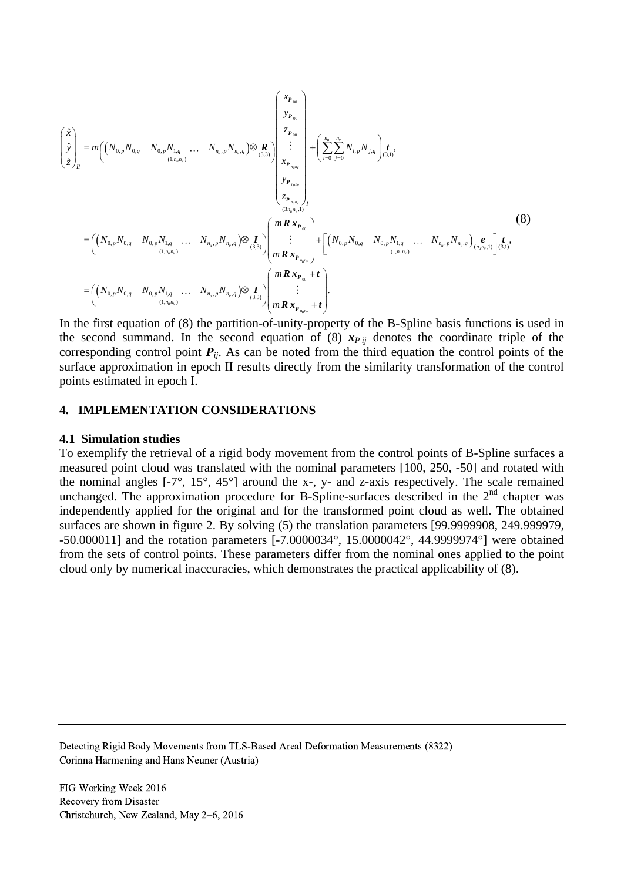$$
\begin{pmatrix}\n\hat{x} \\
\hat{y} \\
\hat{z}\n\end{pmatrix}_{n} = m \Big( \Big( N_{0,p} N_{0,q} \quad N_{0,p} N_{1,q} \quad \dots \quad N_{n_{s},p} N_{n_{s},q} \Big) \otimes R_{0,1} \Big) \begin{pmatrix}\n x_{P_{00}} \\
 z_{P_{00}} \\
 \vdots \\
 x_{P_{n_{s},r}} \\
 x_{P_{n_{s},r}} \\
 \vdots \\
 x_{P_{n_{s},r}} \\
 y_{P_{n_{s},r}} \\
 \vdots \\
 y_{P_{n_{s},r}} \\
 y_{P_{n_{s},r}}\n\end{pmatrix} + \left( \sum_{i=0}^{n_{s}} \sum_{j=0}^{n_{s}} N_{i,p} N_{j,q} \right) \underbrace{\left( \sum_{i=0}^{n_{s}} \sum_{j=0}^{n_{s}} N_{i,p} N_{j,q} \right)}_{(3,1)} \begin{pmatrix}\n x_{P_{00}} \\
 x_{P_{00}} \\
 x_{P_{00}} \\
 \vdots \\
 x_{P_{00}} \\
 \vdots \\
 x_{P_{00}}\n\end{pmatrix} + \left[ \left( N_{0,p} N_{0,q} \quad N_{0,p} N_{1,q} \quad \dots \quad N_{n_{s},p} N_{n_{s},q} \right) \underbrace{\left( \sum_{i=0}^{n_{s}} \sum_{j=0}^{n_{s}} N_{i,p} N_{i,q} \right)}_{(1,n_{s},n_{s})} + \left[ \left( N_{0,p} N_{0,q} \quad N_{0,p} N_{1,q} \quad \dots \quad N_{n_{s},p} N_{n_{s},q} \right) \underbrace{\left( \sum_{i=0}^{n_{s}} \sum_{j=0}^{n_{s}} \sum_{j=0}^{n_{s}} \sum_{j=0}^{n_{s}} \sum_{j=0}^{n_{s}} \sum_{j=0}^{n_{s}} \sum_{j=0}^{n_{s}} \sum_{j=0}^{n_{s}} \sum_{j=0}^{n_{s}} \sum_{j=0}^{n_{s}} \sum_{j=0}^{n_{s}} \sum_{j=0}^{n_{s}} \sum_{j=0}^{n_{s}} \sum_{j=0}^{n_{s}} \sum_{j=0}^{n_{s}} \sum_{j=0}^{n_{s}} \sum_{j=0}^{n_{s}} \sum_{j=0}^{n_{s}} \sum_{j=0}^{n_{s}} \sum_{j
$$

the second summand. In the second equation of (8)  $x_{P ij}$  denotes the coordinate triple of the corresponding control point  $P_{ij}$ . As can be noted from the third equation the control points of the surface approximation in epoch II results directly from the similarity transformation of the control points estimated in epoch I.

### **4. IMPLEMENTATION CONSIDERATIONS**

#### **4.1 Simulation studies**

To exemplify the retrieval of a rigid body movement from the control points of B-Spline surfaces a measured point cloud was translated with the nominal parameters [100, 250, -50] and rotated with the nominal angles [-7°, 15°, 45°] around the x-, y- and z-axis respectively. The scale remained unchanged. The approximation procedure for B-Spline-surfaces described in the  $2<sup>nd</sup>$  chapter was independently applied for the original and for the transformed point cloud as well. The obtained surfaces are shown in figure 2. By solving (5) the translation parameters [99.9999908, 249.999979, -50.000011] and the rotation parameters [-7.0000034°, 15.0000042°, 44.9999974°] were obtained from the sets of control points. These parameters differ from the nominal ones applied to the point cloud only by numerical inaccuracies, which demonstrates the practical applicability of (8).

Detecting Rigid Body Movements from TLS-Based Areal Deformation Measurements (8322) Corinna Harmening and Hans Neuner (Austria)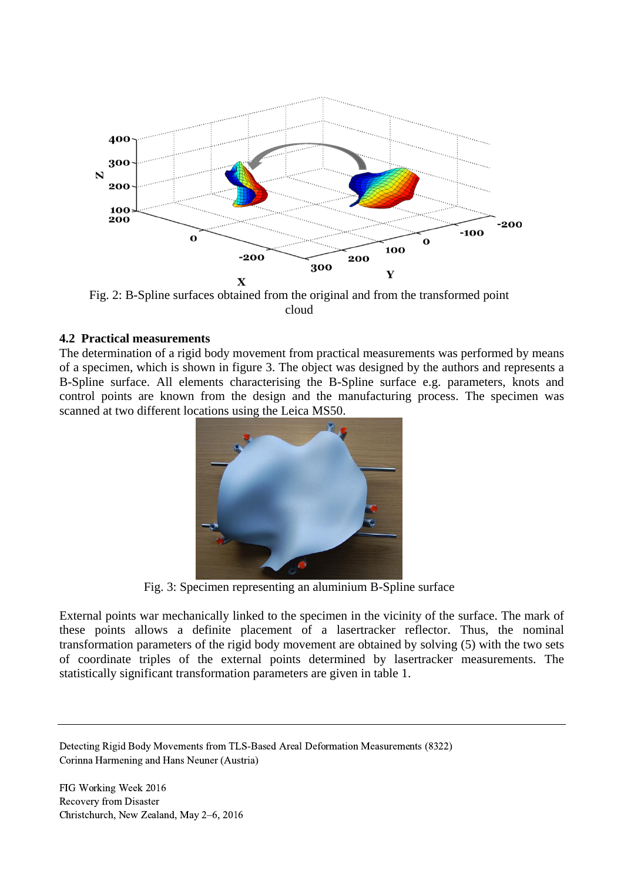

Fig. 2: B-Spline surfaces obtained from the original and from the transformed point cloud

### **4.2 Practical measurements**

The determination of a rigid body movement from practical measurements was performed by means of a specimen, which is shown in figure 3. The object was designed by the authors and represents a B-Spline surface. All elements characterising the B-Spline surface e.g. parameters, knots and control points are known from the design and the manufacturing process. The specimen was scanned at two different locations using the Leica MS50.



Fig. 3: Specimen representing an aluminium B-Spline surface

External points war mechanically linked to the specimen in the vicinity of the surface. The mark of these points allows a definite placement of a lasertracker reflector. Thus, the nominal transformation parameters of the rigid body movement are obtained by solving (5) with the two sets of coordinate triples of the external points determined by lasertracker measurements. The statistically significant transformation parameters are given in table 1.

Detecting Rigid Body Movements from TLS-Based Areal Deformation Measurements (8322) Corinna Harmening and Hans Neuner (Austria)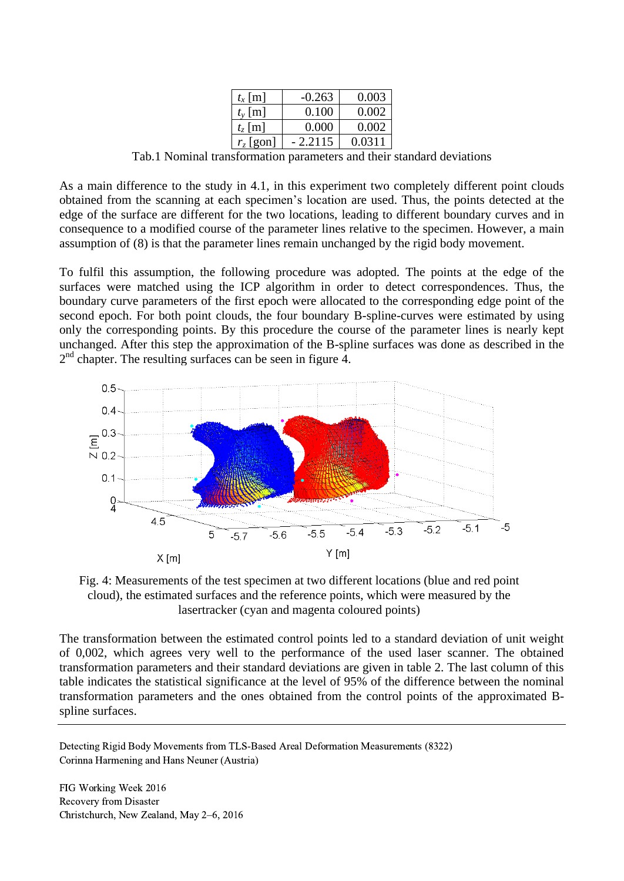| $t_x$ [m]       | $-0.263$ | 0.003  |
|-----------------|----------|--------|
| $t_{v}$ [m]     | 0.100    | 0.002  |
| $t_{\rm z}$ [m] | 0.000    | 0.002  |
| $r_z$ [gon]     | 2.2115   | 0.0311 |

Tab.1 Nominal transformation parameters and their standard deviations

As a main difference to the study in 4.1, in this experiment two completely different point clouds obtained from the scanning at each specimen's location are used. Thus, the points detected at the edge of the surface are different for the two locations, leading to different boundary curves and in consequence to a modified course of the parameter lines relative to the specimen. However, a main assumption of (8) is that the parameter lines remain unchanged by the rigid body movement.

To fulfil this assumption, the following procedure was adopted. The points at the edge of the surfaces were matched using the ICP algorithm in order to detect correspondences. Thus, the boundary curve parameters of the first epoch were allocated to the corresponding edge point of the second epoch. For both point clouds, the four boundary B-spline-curves were estimated by using only the corresponding points. By this procedure the course of the parameter lines is nearly kept unchanged. After this step the approximation of the B-spline surfaces was done as described in the 2<sup>nd</sup> chapter. The resulting surfaces can be seen in figure 4.



Fig. 4: Measurements of the test specimen at two different locations (blue and red point cloud), the estimated surfaces and the reference points, which were measured by the lasertracker (cyan and magenta coloured points)

The transformation between the estimated control points led to a standard deviation of unit weight of 0,002, which agrees very well to the performance of the used laser scanner. The obtained transformation parameters and their standard deviations are given in table 2. The last column of this table indicates the statistical significance at the level of 95% of the difference between the nominal transformation parameters and the ones obtained from the control points of the approximated Bspline surfaces.

Detecting Rigid Body Movements from TLS-Based Areal Deformation Measurements (8322) Corinna Harmening and Hans Neuner (Austria)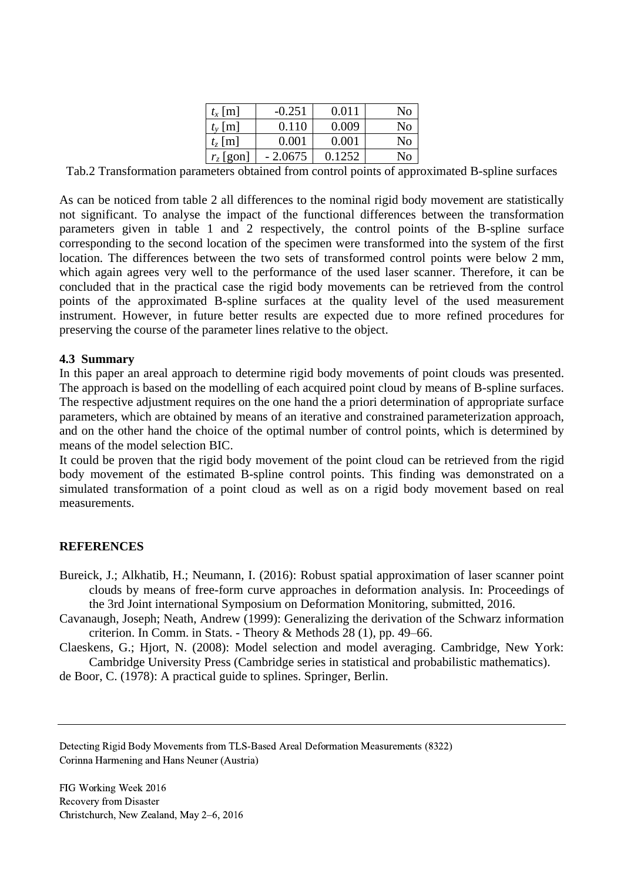| $t_x$ [m]       | $-0.251$ | 0.011  | No  |
|-----------------|----------|--------|-----|
| $t_{v}$ [m]     | 0.110    | 0.009  | Nο  |
| $t_{\rm z}$ [m] | 0.001    | 0.001  | Nο  |
| $r_z$ [gon]     | - 2.0675 | 0.1252 | No. |

Tab.2 Transformation parameters obtained from control points of approximated B-spline surfaces

As can be noticed from table 2 all differences to the nominal rigid body movement are statistically not significant. To analyse the impact of the functional differences between the transformation parameters given in table 1 and 2 respectively, the control points of the B-spline surface corresponding to the second location of the specimen were transformed into the system of the first location. The differences between the two sets of transformed control points were below 2 mm, which again agrees very well to the performance of the used laser scanner. Therefore, it can be concluded that in the practical case the rigid body movements can be retrieved from the control points of the approximated B-spline surfaces at the quality level of the used measurement instrument. However, in future better results are expected due to more refined procedures for preserving the course of the parameter lines relative to the object.

# **4.3 Summary**

In this paper an areal approach to determine rigid body movements of point clouds was presented. The approach is based on the modelling of each acquired point cloud by means of B-spline surfaces. The respective adjustment requires on the one hand the a priori determination of appropriate surface parameters, which are obtained by means of an iterative and constrained parameterization approach, and on the other hand the choice of the optimal number of control points, which is determined by means of the model selection BIC.

It could be proven that the rigid body movement of the point cloud can be retrieved from the rigid body movement of the estimated B-spline control points. This finding was demonstrated on a simulated transformation of a point cloud as well as on a rigid body movement based on real measurements.

# **REFERENCES**

- Bureick, J.; Alkhatib, H.; Neumann, I. (2016): Robust spatial approximation of laser scanner point clouds by means of free-form curve approaches in deformation analysis. In: Proceedings of the 3rd Joint international Symposium on Deformation Monitoring, submitted, 2016.
- Cavanaugh, Joseph; Neath, Andrew (1999): Generalizing the derivation of the Schwarz information criterion. In Comm. in Stats. - Theory & Methods 28 (1), pp. 49–66.

Claeskens, G.; Hjort, N. (2008): Model selection and model averaging. Cambridge, New York: Cambridge University Press (Cambridge series in statistical and probabilistic mathematics).

de Boor, C. (1978): A practical guide to splines. Springer, Berlin.

Detecting Rigid Body Movements from TLS-Based Areal Deformation Measurements (8322) Corinna Harmening and Hans Neuner (Austria)